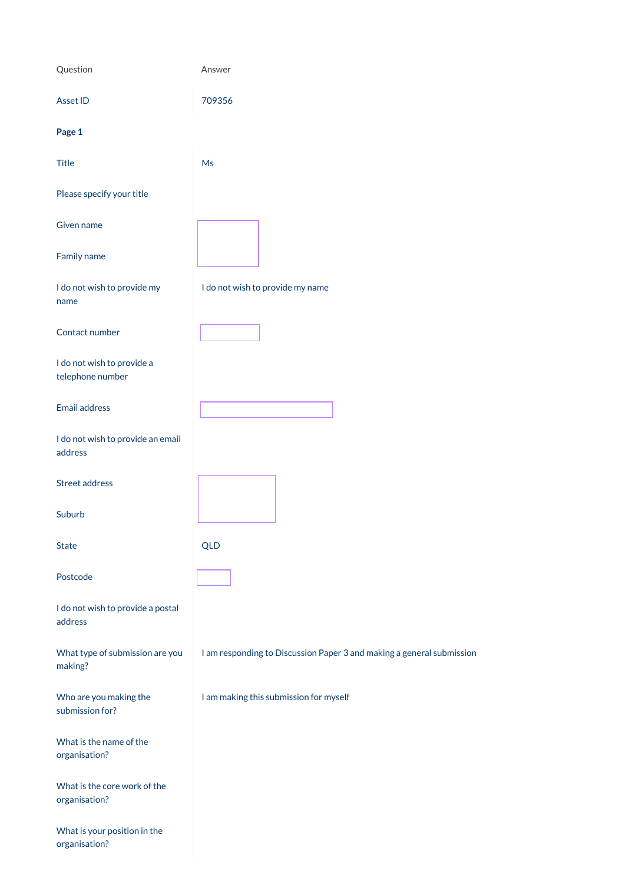| Question                                       | Answer                                                                |
|------------------------------------------------|-----------------------------------------------------------------------|
| Asset ID                                       | 709356                                                                |
| Page 1                                         |                                                                       |
| <b>Title</b>                                   | Ms                                                                    |
| Please specify your title                      |                                                                       |
| Given name                                     |                                                                       |
| Family name                                    |                                                                       |
| I do not wish to provide my<br>name            | I do not wish to provide my name                                      |
| Contact number                                 |                                                                       |
| I do not wish to provide a<br>telephone number |                                                                       |
| <b>Email address</b>                           |                                                                       |
| I do not wish to provide an email<br>address   |                                                                       |
| <b>Street address</b>                          |                                                                       |
| Suburb                                         |                                                                       |
| <b>State</b>                                   | <b>QLD</b>                                                            |
| Postcode                                       |                                                                       |
| I do not wish to provide a postal<br>address   |                                                                       |
| What type of submission are you                | I am responding to Discussion Paper 3 and making a general submission |

making?

Who are you making the submission for?

I am making this submission for myself

What is the name of the organisation?

What is the core work of the organisation?

What is your position in the organisation?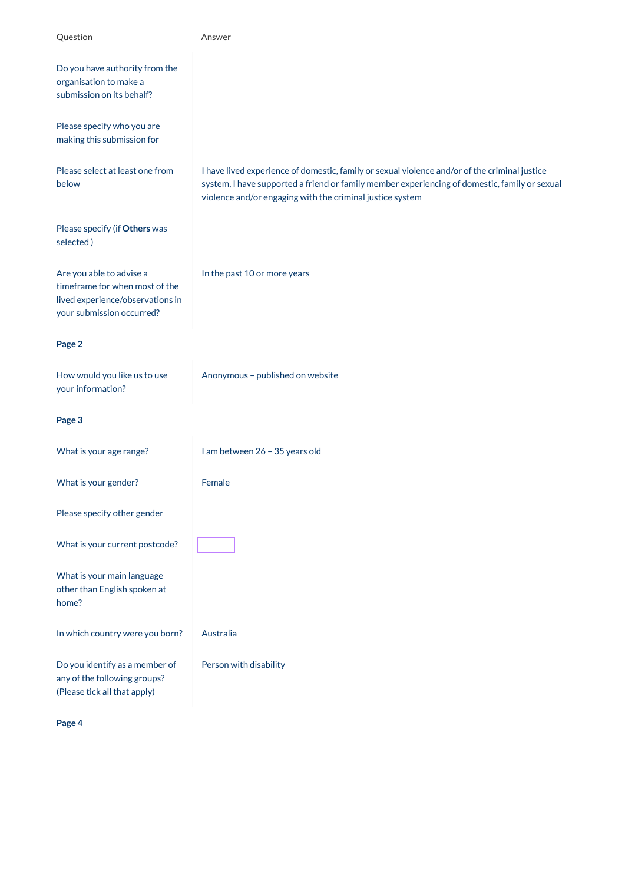| Question                                                                                                                    | Answer                                                                                                                                                                                                                                                      |
|-----------------------------------------------------------------------------------------------------------------------------|-------------------------------------------------------------------------------------------------------------------------------------------------------------------------------------------------------------------------------------------------------------|
| Do you have authority from the<br>organisation to make a<br>submission on its behalf?                                       |                                                                                                                                                                                                                                                             |
| Please specify who you are<br>making this submission for                                                                    |                                                                                                                                                                                                                                                             |
| Please select at least one from<br>below                                                                                    | I have lived experience of domestic, family or sexual violence and/or of the criminal justice<br>system, I have supported a friend or family member experiencing of domestic, family or sexual<br>violence and/or engaging with the criminal justice system |
| Please specify (if Others was<br>selected)                                                                                  |                                                                                                                                                                                                                                                             |
| Are you able to advise a<br>timeframe for when most of the<br>lived experience/observations in<br>your submission occurred? | In the past 10 or more years                                                                                                                                                                                                                                |
| Page 2                                                                                                                      |                                                                                                                                                                                                                                                             |
| How would you like us to use<br>your information?                                                                           | Anonymous - published on website                                                                                                                                                                                                                            |
| Page 3                                                                                                                      |                                                                                                                                                                                                                                                             |
| What is your age range?                                                                                                     | I am between 26 - 35 years old                                                                                                                                                                                                                              |
| What is your gender?                                                                                                        | Female                                                                                                                                                                                                                                                      |
| Please specify other gender                                                                                                 |                                                                                                                                                                                                                                                             |
| What is your current postcode?                                                                                              |                                                                                                                                                                                                                                                             |
| What is your main language<br>other than English spoken at<br>home?                                                         |                                                                                                                                                                                                                                                             |
| In which country were you born?                                                                                             | Australia                                                                                                                                                                                                                                                   |
| Do you identify as a member of                                                                                              | Person with disability                                                                                                                                                                                                                                      |

any of the following groups? (Please tick all that apply)

**Page 4**